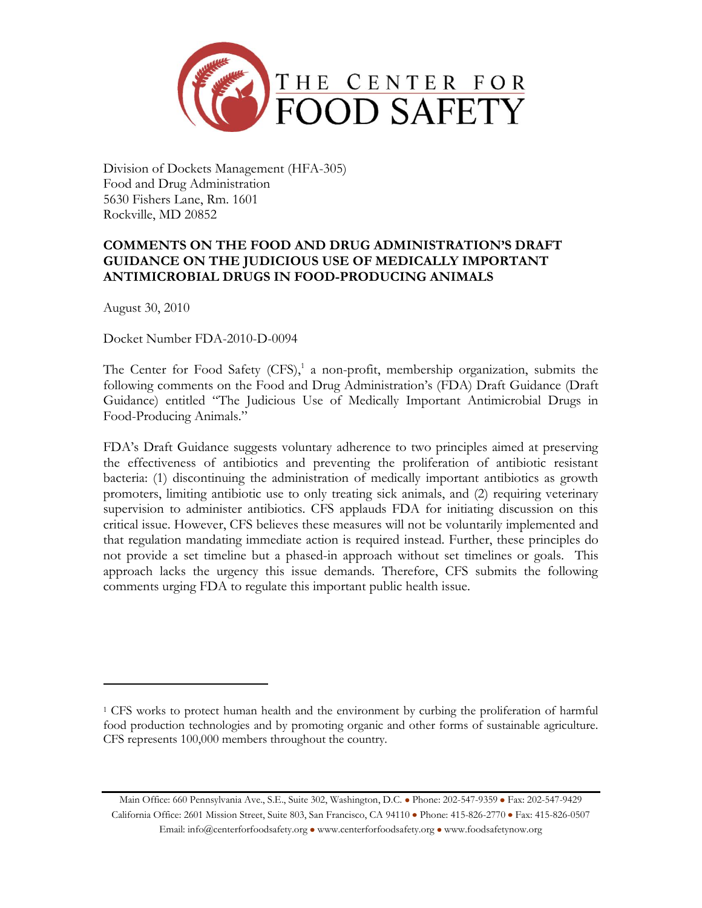

Division of Dockets Management (HFA-305) Food and Drug Administration 5630 Fishers Lane, Rm. 1601 Rockville, MD 20852

# **COMMENTS ON THE FOOD AND DRUG ADMINISTRATION'S DRAFT GUIDANCE ON THE JUDICIOUS USE OF MEDICALLY IMPORTANT ANTIMICROBIAL DRUGS IN FOOD-PRODUCING ANIMALS**

August 30, 2010

 $\overline{\phantom{a}}$ 

Docket Number FDA-2010-D-0094

The Center for Food Safety (CFS), 1 a non-profit, membership organization, submits the following comments on the Food and Drug Administration's (FDA) Draft Guidance (Draft Guidance) entitled "The Judicious Use of Medically Important Antimicrobial Drugs in Food-Producing Animals."

FDA's Draft Guidance suggests voluntary adherence to two principles aimed at preserving the effectiveness of antibiotics and preventing the proliferation of antibiotic resistant bacteria: (1) discontinuing the administration of medically important antibiotics as growth promoters, limiting antibiotic use to only treating sick animals, and (2) requiring veterinary supervision to administer antibiotics. CFS applauds FDA for initiating discussion on this critical issue. However, CFS believes these measures will not be voluntarily implemented and that regulation mandating immediate action is required instead. Further, these principles do not provide a set timeline but a phased-in approach without set timelines or goals. This approach lacks the urgency this issue demands. Therefore, CFS submits the following comments urging FDA to regulate this important public health issue.

Main Office: 660 Pennsylvania Ave., S.E., Suite 302, Washington, D.C. . Phone: 202-547-9359 · Fax: 202-547-9429 California Office: 2601 Mission Street, Suite 803, San Francisco, CA 94110 . Phone: 415-826-2770 . Fax: 415-826-0507 Email: info@centerforfoodsafety.org . www.centerforfoodsafety.org . www.foodsafetynow.org

<sup>1</sup> CFS works to protect human health and the environment by curbing the proliferation of harmful food production technologies and by promoting organic and other forms of sustainable agriculture. CFS represents 100,000 members throughout the country.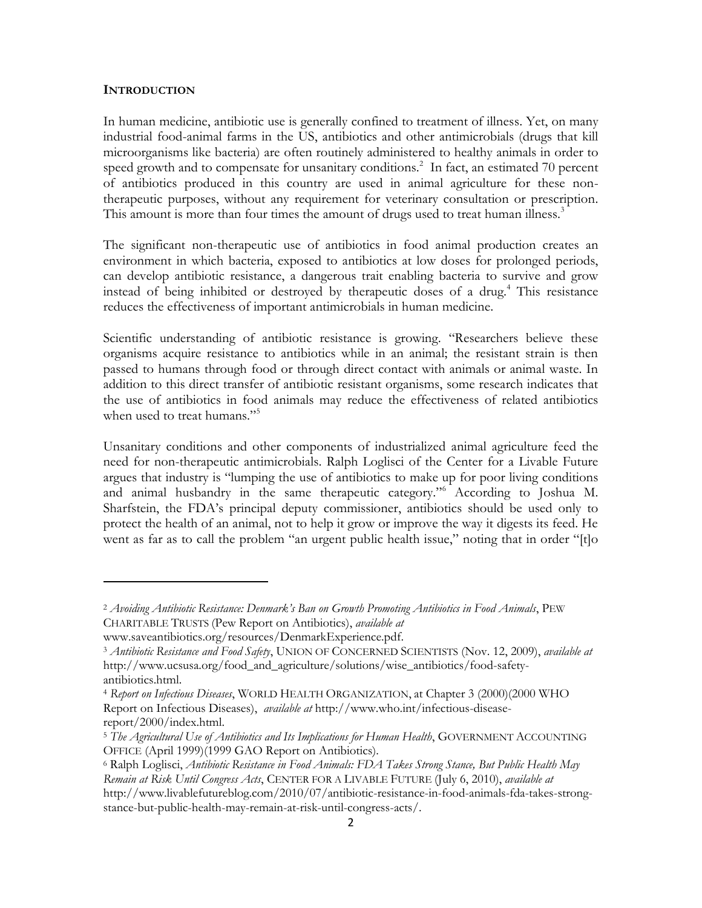#### **INTRODUCTION**

 $\overline{\phantom{a}}$ 

In human medicine, antibiotic use is generally confined to treatment of illness. Yet, on many industrial food-animal farms in the US, antibiotics and other antimicrobials (drugs that kill microorganisms like bacteria) are often routinely administered to healthy animals in order to speed growth and to compensate for unsanitary conditions.<sup>2</sup> In fact, an estimated 70 percent of antibiotics produced in this country are used in animal agriculture for these nontherapeutic purposes, without any requirement for veterinary consultation or prescription. This amount is more than four times the amount of drugs used to treat human illness.<sup>3</sup>

The significant non-therapeutic use of antibiotics in food animal production creates an environment in which bacteria, exposed to antibiotics at low doses for prolonged periods, can develop antibiotic resistance, a dangerous trait enabling bacteria to survive and grow instead of being inhibited or destroyed by the rapeutic doses of a drug.<sup>4</sup> This resistance reduces the effectiveness of important antimicrobials in human medicine.

Scientific understanding of antibiotic resistance is growing. "Researchers believe these organisms acquire resistance to antibiotics while in an animal; the resistant strain is then passed to humans through food or through direct contact with animals or animal waste. In addition to this direct transfer of antibiotic resistant organisms, some research indicates that the use of antibiotics in food animals may reduce the effectiveness of related antibiotics when used to treat humans."<sup>5</sup>

Unsanitary conditions and other components of industrialized animal agriculture feed the need for non-therapeutic antimicrobials. Ralph Loglisci of the Center for a Livable Future argues that industry is "lumping the use of antibiotics to make up for poor living conditions and animal husbandry in the same therapeutic category.<sup>16</sup> According to Joshua M. Sharfstein, the FDA's principal deputy commissioner, antibiotics should be used only to protect the health of an animal, not to help it grow or improve the way it digests its feed. He went as far as to call the problem "an urgent public health issue," noting that in order "[t]o

<sup>2</sup> *Avoiding Antibiotic Resistance: Denmark's Ban on Growth Promoting Antibiotics in Food Animals*, PEW CHARITABLE TRUSTS (Pew Report on Antibiotics), *available at*

www.saveantibiotics.org/resources/DenmarkExperience.pdf.

<sup>3</sup> *Antibiotic Resistance and Food Safety*, UNION OF CONCERNED SCIENTISTS (Nov. 12, 2009), *available at* [http://www.ucsusa.org/food\\_and\\_agriculture/solutions/wise\\_antibiotics/food-safety](http://www.ucsusa.org/food_and_agriculture/solutions/wise_antibiotics/food-safety-antibiotics.html)[antibiotics.html.](http://www.ucsusa.org/food_and_agriculture/solutions/wise_antibiotics/food-safety-antibiotics.html)

<sup>4</sup> *Report on Infectious Diseases*, WORLD HEALTH ORGANIZATION, at Chapter 3 (2000)(2000 WHO Report on Infectious Diseases), *available at* http://www.who.int/infectious-diseasereport/2000/index.html.

<sup>5</sup> *The Agricultural Use of Antibiotics and Its Implications for Human Health*, GOVERNMENT ACCOUNTING OFFICE (April 1999)(1999 GAO Report on Antibiotics).

<sup>6</sup> Ralph Loglisci, *Antibiotic Resistance in Food Animals: FDA Takes Strong Stance, But Public Health May Remain at Risk Until Congress Acts*, CENTER FOR A LIVABLE FUTURE (July 6, 2010), *available at* http://www.livablefutureblog.com/2010/07/antibiotic-resistance-in-food-animals-fda-takes-strongstance-but-public-health-may-remain-at-risk-until-congress-acts/.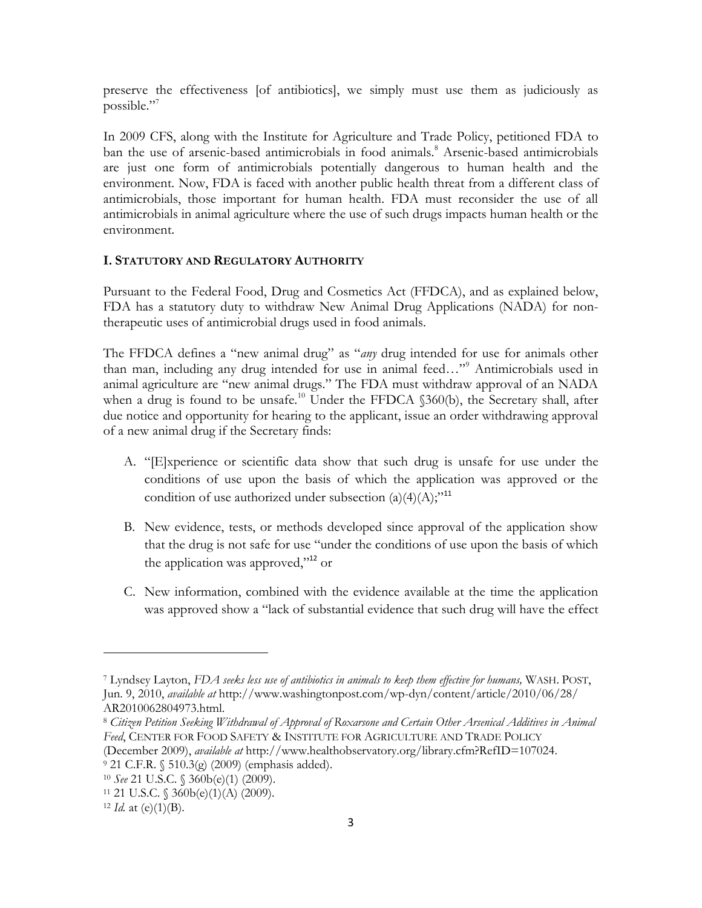preserve the effectiveness [of antibiotics], we simply must use them as judiciously as possible."<sup>7</sup>

In 2009 CFS, along with the Institute for Agriculture and Trade Policy, petitioned FDA to ban the use of arsenic-based antimicrobials in food animals.<sup>8</sup> Arsenic-based antimicrobials are just one form of antimicrobials potentially dangerous to human health and the environment. Now, FDA is faced with another public health threat from a different class of antimicrobials, those important for human health. FDA must reconsider the use of all antimicrobials in animal agriculture where the use of such drugs impacts human health or the environment.

#### **I. STATUTORY AND REGULATORY AUTHORITY**

Pursuant to the Federal Food, Drug and Cosmetics Act (FFDCA), and as explained below, FDA has a statutory duty to withdraw New Animal Drug Applications (NADA) for nontherapeutic uses of antimicrobial drugs used in food animals.

The FFDCA defines a "new animal drug" as "*any* drug intended for use for animals other than man, including any drug intended for use in animal feed..."<sup>9</sup> Antimicrobials used in animal agriculture are "new animal drugs." The FDA must withdraw approval of an NADA when a drug is found to be unsafe.<sup>10</sup> Under the FFDCA  $$360(b)$ , the Secretary shall, after due notice and opportunity for hearing to the applicant, issue an order withdrawing approval of a new animal drug if the Secretary finds:

- A. "[E]xperience or scientific data show that such drug is unsafe for use under the conditions of use upon the basis of which the application was approved or the condition of use authorized under subsection  $(a)(4)(A);$ <sup>11</sup>
- B. New evidence, tests, or methods developed since approval of the application show that the drug is not safe for use "under the conditions of use upon the basis of which the application was approved,"<sup>12</sup> or
- C. New information, combined with the evidence available at the time the application was approved show a "lack of substantial evidence that such drug will have the effect

<sup>7</sup> Lyndsey Layton, *FDA seeks less use of antibiotics in animals to keep them effective for humans,* WASH. POST, Jun. 9, 2010, *available at* http://www.washingtonpost.com/wp-dyn/content/article/2010/06/28/ AR2010062804973.html.

<sup>8</sup> *Citizen Petition Seeking Withdrawal of Approval of Roxarsone and Certain Other Arsenical Additives in Animal Feed*, CENTER FOR FOOD SAFETY & INSTITUTE FOR AGRICULTURE AND TRADE POLICY

<sup>(</sup>December 2009), *available at* http://www.healthobservatory.org/library.cfm?RefID=107024.

<sup>9</sup> 21 C.F.R. § 510.3(g) (2009) (emphasis added).

<sup>10</sup> *See* 21 U.S.C. § 360b(e)(1) (2009).

<sup>11</sup> 21 U.S.C. § 360b(e)(1)(A) (2009).

 $12$  *Id.* at (e)(1)(B).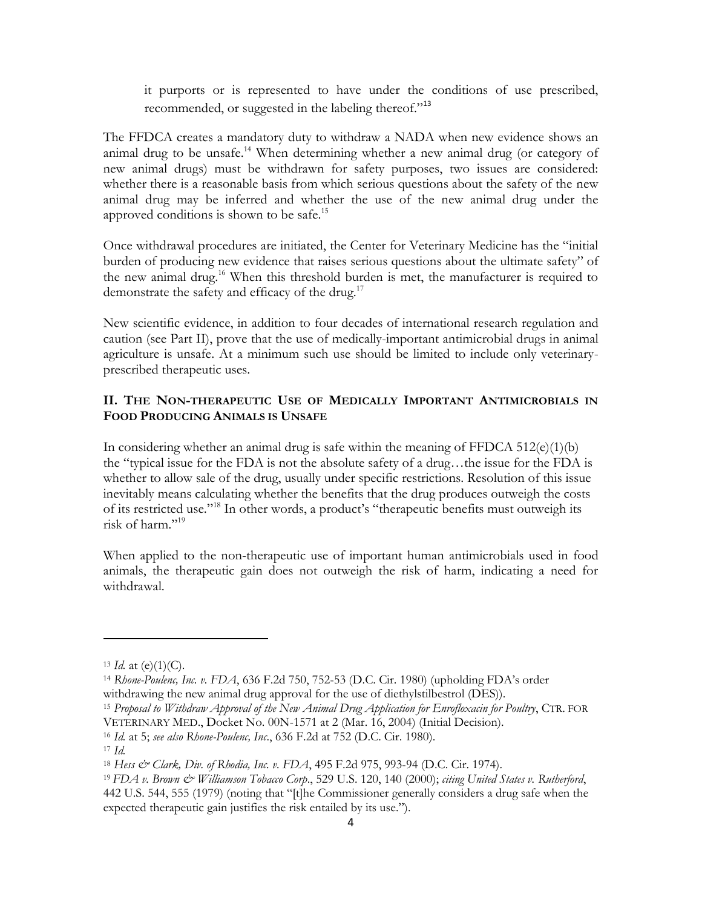it purports or is represented to have under the conditions of use prescribed, recommended, or suggested in the labeling thereof."<sup>13</sup>

The FFDCA creates a mandatory duty to withdraw a NADA when new evidence shows an animal drug to be unsafe.<sup>14</sup> When determining whether a new animal drug (or category of new animal drugs) must be withdrawn for safety purposes, two issues are considered: whether there is a reasonable basis from which serious questions about the safety of the new animal drug may be inferred and whether the use of the new animal drug under the approved conditions is shown to be safe.<sup>15</sup>

Once withdrawal procedures are initiated, the Center for Veterinary Medicine has the "initial burden of producing new evidence that raises serious questions about the ultimate safety" of the new animal drug.<sup>16</sup> When this threshold burden is met, the manufacturer is required to demonstrate the safety and efficacy of the drug.<sup>17</sup>

New scientific evidence, in addition to four decades of international research regulation and caution (see Part II), prove that the use of medically-important antimicrobial drugs in animal agriculture is unsafe. At a minimum such use should be limited to include only veterinaryprescribed therapeutic uses.

## **II. THE NON-THERAPEUTIC USE OF MEDICALLY IMPORTANT ANTIMICROBIALS IN FOOD PRODUCING ANIMALS IS UNSAFE**

In considering whether an animal drug is safe within the meaning of FFDCA  $512(e)(1)(b)$ the "typical issue for the FDA is not the absolute safety of a drug...the issue for the FDA is whether to allow sale of the drug, usually under specific restrictions. Resolution of this issue inevitably means calculating whether the benefits that the drug produces outweigh the costs of its restricted use."<sup>18</sup> In other words, a product's "therapeutic benefits must outweigh its risk of harm."<sup>19</sup>

When applied to the non-therapeutic use of important human antimicrobials used in food animals, the therapeutic gain does not outweigh the risk of harm, indicating a need for withdrawal.

 $13$  *Id.* at (e)(1)(C).

<sup>14</sup> *Rhone-Poulenc, Inc. v. FDA*, 636 F.2d 750, 752-53 (D.C. Cir. 1980) (upholding FDA's order withdrawing the new animal drug approval for the use of diethylstilbestrol (DES)).

<sup>15</sup> *Proposal to Withdraw Approval of the New Animal Drug Application for Enrofloxacin for Poultry*, CTR. FOR VETERINARY MED., Docket No. 00N-1571 at 2 (Mar. 16, 2004) (Initial Decision).

<sup>16</sup> *Id.* at 5; *see also Rhone-Poulenc, Inc*., 636 F.2d at 752 (D.C. Cir. 1980).

<sup>17</sup> *Id.*

<sup>18</sup> *Hess & Clark, Div. of Rhodia, Inc. v. FDA*, 495 F.2d 975, 993-94 (D.C. Cir. 1974).

<sup>19</sup> *FDA v. Brown & Williamson Tobacco Corp*., 529 U.S. 120, 140 (2000); *citing United States v. Rutherford*, 442 U.S. 544, 555 (1979) (noting that "[t]he Commissioner generally considers a drug safe when the expected therapeutic gain justifies the risk entailed by its use.").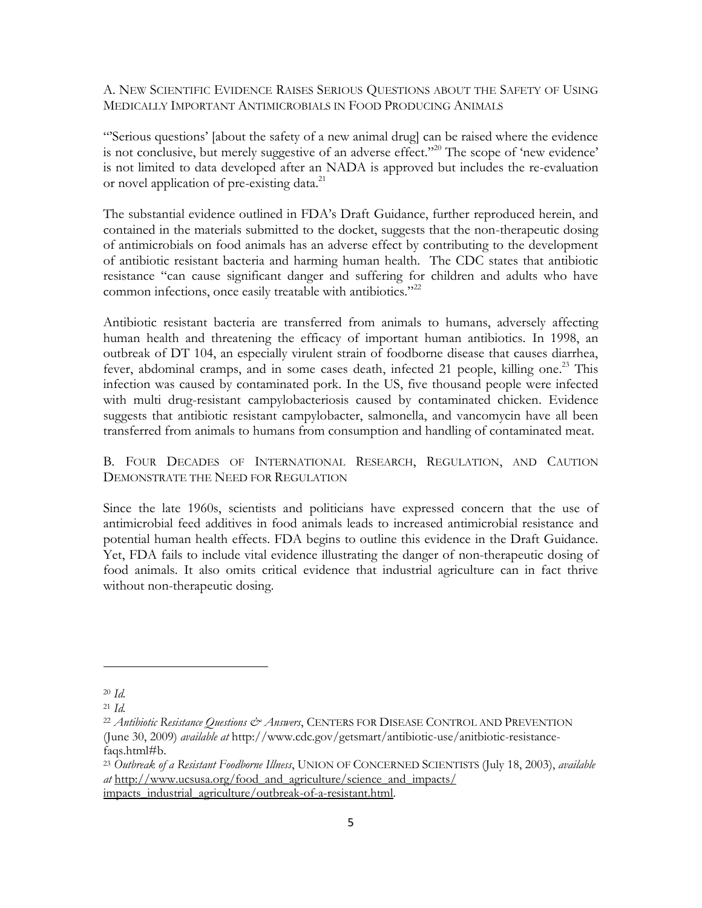A. NEW SCIENTIFIC EVIDENCE RAISES SERIOUS QUESTIONS ABOUT THE SAFETY OF USING MEDICALLY IMPORTANT ANTIMICROBIALS IN FOOD PRODUCING ANIMALS

―'Serious questions' [about the safety of a new animal drug] can be raised where the evidence is not conclusive, but merely suggestive of an adverse effect."<sup>20</sup> The scope of 'new evidence' is not limited to data developed after an NADA is approved but includes the re-evaluation or novel application of pre-existing data.<sup>21</sup>

The substantial evidence outlined in FDA's Draft Guidance, further reproduced herein, and contained in the materials submitted to the docket, suggests that the non-therapeutic dosing of antimicrobials on food animals has an adverse effect by contributing to the development of antibiotic resistant bacteria and harming human health. The CDC states that antibiotic resistance "can cause significant danger and suffering for children and adults who have common infections, once easily treatable with antibiotics."<sup>22</sup>

Antibiotic resistant bacteria are transferred from animals to humans, adversely affecting human health and threatening the efficacy of important human antibiotics. In 1998, an outbreak of DT 104, an especially virulent strain of foodborne disease that causes diarrhea, fever, abdominal cramps, and in some cases death, infected 21 people, killing one.<sup>23</sup> This infection was caused by contaminated pork. In the US, five thousand people were infected with multi drug-resistant campylobacteriosis caused by contaminated chicken. Evidence suggests that antibiotic resistant campylobacter, salmonella, and vancomycin have all been transferred from animals to humans from consumption and handling of contaminated meat.

B. FOUR DECADES OF INTERNATIONAL RESEARCH, REGULATION, AND CAUTION DEMONSTRATE THE NEED FOR REGULATION

Since the late 1960s, scientists and politicians have expressed concern that the use of antimicrobial feed additives in food animals leads to increased antimicrobial resistance and potential human health effects. FDA begins to outline this evidence in the Draft Guidance. Yet, FDA fails to include vital evidence illustrating the danger of non-therapeutic dosing of food animals. It also omits critical evidence that industrial agriculture can in fact thrive without non-therapeutic dosing.

 $\overline{\phantom{a}}$ 

<sup>20</sup> *Id.*

<sup>21</sup> *Id.*

<sup>22</sup> *Antibiotic Resistance Questions & Answers*, CENTERS FOR DISEASE CONTROL AND PREVENTION (June 30, 2009) *available at* [http://www.cdc.gov/getsmart/antibiotic-use/anitbiotic-resistance](http://www.cdc.gov/getsmart/antibiotic-use/anitbiotic-resistance-faqs.html#b)[faqs.html#b.](http://www.cdc.gov/getsmart/antibiotic-use/anitbiotic-resistance-faqs.html#b)

<sup>23</sup> *Outbreak of a Resistant Foodborne Illness*, UNION OF CONCERNED SCIENTISTS (July 18, 2003), *available at* http://www.ucsusa.org/food\_and\_agriculture/science\_and\_impacts/ impacts\_industrial\_agriculture/outbreak-of-a-resistant.html.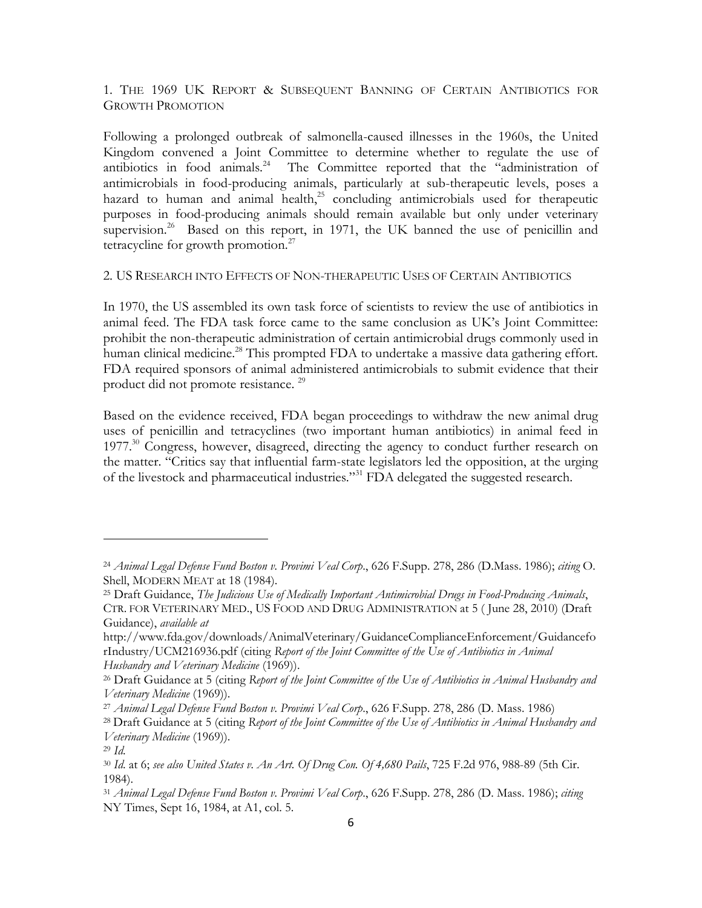1. THE 1969 UK REPORT & SUBSEQUENT BANNING OF CERTAIN ANTIBIOTICS FOR GROWTH PROMOTION

Following a prolonged outbreak of salmonella-caused illnesses in the 1960s, the United Kingdom convened a Joint Committee to determine whether to regulate the use of antibiotics in food animals.<sup>24</sup> The Committee reported that the "administration of antimicrobials in food-producing animals, particularly at sub-therapeutic levels, poses a hazard to human and animal health,<sup>25</sup> concluding antimicrobials used for therapeutic purposes in food-producing animals should remain available but only under veterinary supervision.<sup>26</sup> Based on this report, in 1971, the UK banned the use of penicillin and tetracycline for growth promotion. $27$ 

#### 2. US RESEARCH INTO EFFECTS OF NON-THERAPEUTIC USES OF CERTAIN ANTIBIOTICS

In 1970, the US assembled its own task force of scientists to review the use of antibiotics in animal feed. The FDA task force came to the same conclusion as UK's Joint Committee: prohibit the non-therapeutic administration of certain antimicrobial drugs commonly used in human clinical medicine.<sup>28</sup> This prompted FDA to undertake a massive data gathering effort. FDA required sponsors of animal administered antimicrobials to submit evidence that their product did not promote resistance.<sup>29</sup>

Based on the evidence received, FDA began proceedings to withdraw the new animal drug uses of penicillin and tetracyclines (two important human antibiotics) in animal feed in  $1977<sup>30</sup>$  Congress, however, disagreed, directing the agency to conduct further research on the matter. "Critics say that influential farm-state legislators led the opposition, at the urging of the livestock and pharmaceutical industries."<sup>31</sup> FDA delegated the suggested research.

<sup>24</sup> *Animal Legal Defense Fund Boston v. Provimi Veal Corp*., 626 F.Supp. 278, 286 (D.Mass. 1986); *citing* O. Shell, MODERN MEAT at 18 (1984).

<sup>25</sup> Draft Guidance, *The Judicious Use of Medically Important Antimicrobial Drugs in Food-Producing Animals*, CTR. FOR VETERINARY MED., US FOOD AND DRUG ADMINISTRATION at 5 ( June 28, 2010) (Draft Guidance), *available at*

http://www.fda.gov/downloads/AnimalVeterinary/GuidanceComplianceEnforcement/Guidancefo rIndustry/UCM216936.pdf (citing *Report of the Joint Committee of the Use of Antibiotics in Animal Husbandry and Veterinary Medicine* (1969)).

<sup>26</sup> Draft Guidance at 5 (citing *Report of the Joint Committee of the Use of Antibiotics in Animal Husbandry and Veterinary Medicine* (1969)).

<sup>27</sup> *Animal Legal Defense Fund Boston v. Provimi Veal Corp*., 626 F.Supp. 278, 286 (D. Mass. 1986)

<sup>28</sup> Draft Guidance at 5 (citing *Report of the Joint Committee of the Use of Antibiotics in Animal Husbandry and Veterinary Medicine* (1969)).

<sup>29</sup> *Id*.

<sup>30</sup> *Id*. at 6; *see also United States v. An Art. Of Drug Con. Of 4,680 Pails*, 725 F.2d 976, 988-89 (5th Cir. 1984).

<sup>31</sup> *Animal Legal Defense Fund Boston v. Provimi Veal Corp*., 626 F.Supp. 278, 286 (D. Mass. 1986); *citing* NY Times, Sept 16, 1984, at A1, col. 5.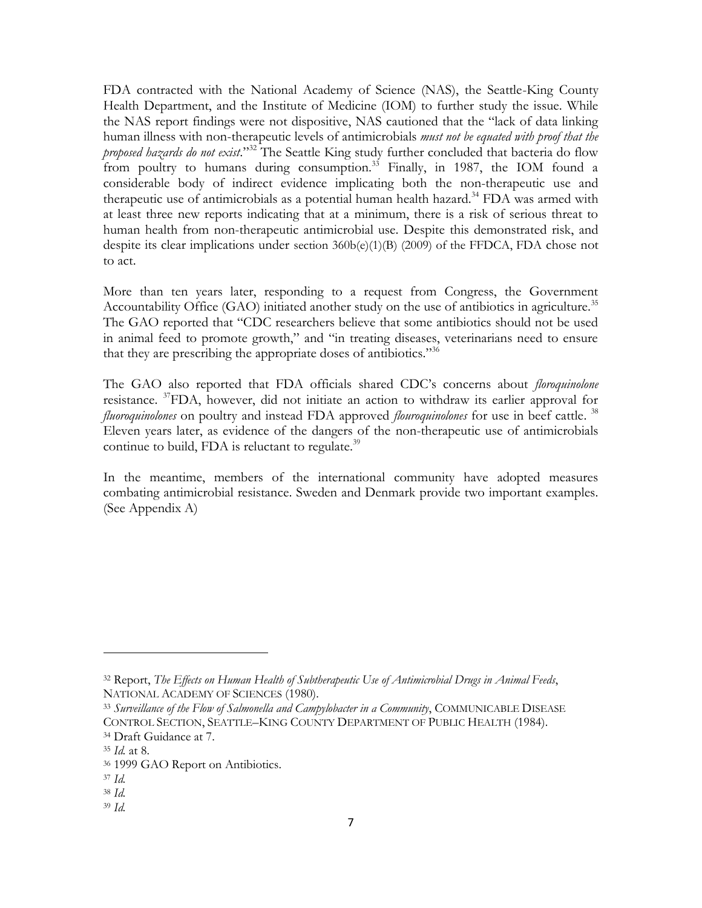FDA contracted with the National Academy of Science (NAS), the Seattle-King County Health Department, and the Institute of Medicine (IOM) to further study the issue. While the NAS report findings were not dispositive, NAS cautioned that the "lack of data linking human illness with non-therapeutic levels of antimicrobials *must not be equated with proof that the proposed hazards do not exist.*<sup>332</sup> The Seattle King study further concluded that bacteria do flow from poultry to humans during consumption.<sup>33</sup> Finally, in 1987, the IOM found a considerable body of indirect evidence implicating both the non-therapeutic use and therapeutic use of antimicrobials as a potential human health hazard.<sup>34</sup> FDA was armed with at least three new reports indicating that at a minimum, there is a risk of serious threat to human health from non-therapeutic antimicrobial use. Despite this demonstrated risk, and despite its clear implications under section 360b(e)(1)(B) (2009) of the FFDCA, FDA chose not to act.

More than ten years later, responding to a request from Congress, the Government Accountability Office (GAO) initiated another study on the use of antibiotics in agriculture.<sup>35</sup> The GAO reported that "CDC researchers believe that some antibiotics should not be used in animal feed to promote growth," and "in treating diseases, veterinarians need to ensure that they are prescribing the appropriate doses of antibiotics.<sup>356</sup>

The GAO also reported that FDA officials shared CDC's concerns about *floroquinolone*  resistance. <sup>37</sup>FDA, however, did not initiate an action to withdraw its earlier approval for *fluoroquinolones* on poultry and instead FDA approved *flouroquinolones* for use in beef cattle. 38 Eleven years later, as evidence of the dangers of the non-therapeutic use of antimicrobials continue to build, FDA is reluctant to regulate. $39$ 

In the meantime, members of the international community have adopted measures combating antimicrobial resistance. Sweden and Denmark provide two important examples. (See Appendix A)

 $\overline{a}$ 

<sup>38</sup> *Id.*

<sup>32</sup> Report, *The Effects on Human Health of Subtherapeutic Use of Antimicrobial Drugs in Animal Feeds*, NATIONAL ACADEMY OF SCIENCES (1980).

<sup>33</sup> *Surveillance of the Flow of Salmonella and Campylobacter in a Community*, COMMUNICABLE DISEASE CONTROL SECTION, SEATTLE–KING COUNTY DEPARTMENT OF PUBLIC HEALTH (1984). <sup>34</sup> Draft Guidance at 7.

<sup>35</sup> *Id.* at 8.

<sup>36</sup> 1999 GAO Report on Antibiotics.

<sup>37</sup> *Id.*

<sup>39</sup> *Id.*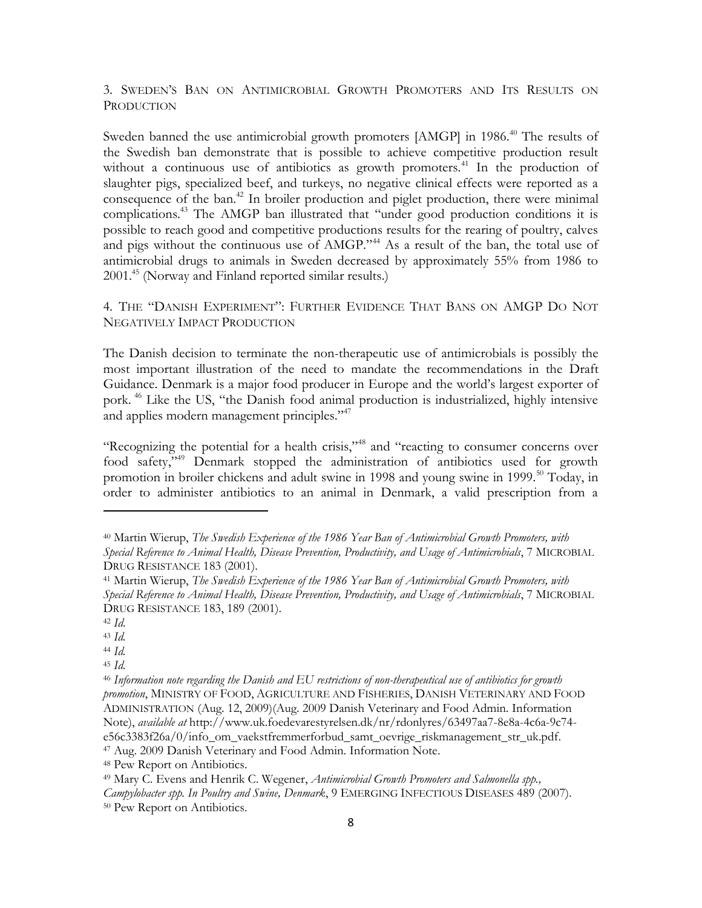3. SWEDEN'S BAN ON ANTIMICROBIAL GROWTH PROMOTERS AND ITS RESULTS ON **PRODUCTION** 

Sweden banned the use antimicrobial growth promoters [AMGP] in 1986.<sup>40</sup> The results of the Swedish ban demonstrate that is possible to achieve competitive production result without a continuous use of antibiotics as growth promoters.<sup>41</sup> In the production of slaughter pigs, specialized beef, and turkeys, no negative clinical effects were reported as a consequence of the ban.<sup>42</sup> In broiler production and piglet production, there were minimal complications.<sup>43</sup> The AMGP ban illustrated that "under good production conditions it is possible to reach good and competitive productions results for the rearing of poultry, calves and pigs without the continuous use of AMGP."<sup>44</sup> As a result of the ban, the total use of antimicrobial drugs to animals in Sweden decreased by approximately 55% from 1986 to 2001.<sup>45</sup> (Norway and Finland reported similar results.)

4. THE "DANISH EXPERIMENT": FURTHER EVIDENCE THAT BANS ON AMGP DO NOT NEGATIVELY IMPACT PRODUCTION

The Danish decision to terminate the non-therapeutic use of antimicrobials is possibly the most important illustration of the need to mandate the recommendations in the Draft Guidance. Denmark is a major food producer in Europe and the world's largest exporter of pork. <sup>46</sup> Like the US, "the Danish food animal production is industrialized, highly intensive and applies modern management principles."<sup>47</sup>

"Recognizing the potential for a health crisis,"<sup>48</sup> and "reacting to consumer concerns over food safety,"<sup>49</sup> Denmark stopped the administration of antibiotics used for growth promotion in broiler chickens and adult swine in 1998 and young swine in 1999.<sup>50</sup> Today, in order to administer antibiotics to an animal in Denmark, a valid prescription from a

<sup>40</sup> Martin Wierup, *The Swedish Experience of the 1986 Year Ban of Antimicrobial Growth Promoters, with Special Reference to Animal Health, Disease Prevention, Productivity, and Usage of Antimicrobials*, 7 MICROBIAL DRUG RESISTANCE 183 (2001).

<sup>41</sup> Martin Wierup, *The Swedish Experience of the 1986 Year Ban of Antimicrobial Growth Promoters, with Special Reference to Animal Health, Disease Prevention, Productivity, and Usage of Antimicrobials*, 7 MICROBIAL DRUG RESISTANCE 183, 189 (2001).

<sup>42</sup> *Id*.

<sup>43</sup> *Id.* <sup>44</sup> *Id.*

<sup>45</sup> *Id.*

<sup>46</sup> *Information note regarding the Danish and EU restrictions of non-therapeutical use of antibiotics for growth promotion*, MINISTRY OF FOOD, AGRICULTURE AND FISHERIES, DANISH VETERINARY AND FOOD ADMINISTRATION (Aug. 12, 2009)(Aug. 2009 Danish Veterinary and Food Admin. Information Note), *available at* http://www.uk.foedevarestyrelsen.dk/nr/rdonlyres/63497aa7-8e8a-4c6a-9c74 e56c3383f26a/0/info\_om\_vaekstfremmerforbud\_samt\_oevrige\_riskmanagement\_str\_uk.pdf.

<sup>47</sup> Aug. 2009 Danish Veterinary and Food Admin. Information Note.

<sup>48</sup> Pew Report on Antibiotics.

<sup>49</sup> Mary C. Evens and Henrik C. Wegener, *Antimicrobial Growth Promoters and Salmonella spp.,* 

*Campylobacter spp. In Poultry and Swine, Denmark*, 9 EMERGING INFECTIOUS DISEASES 489 (2007).

<sup>50</sup> Pew Report on Antibiotics.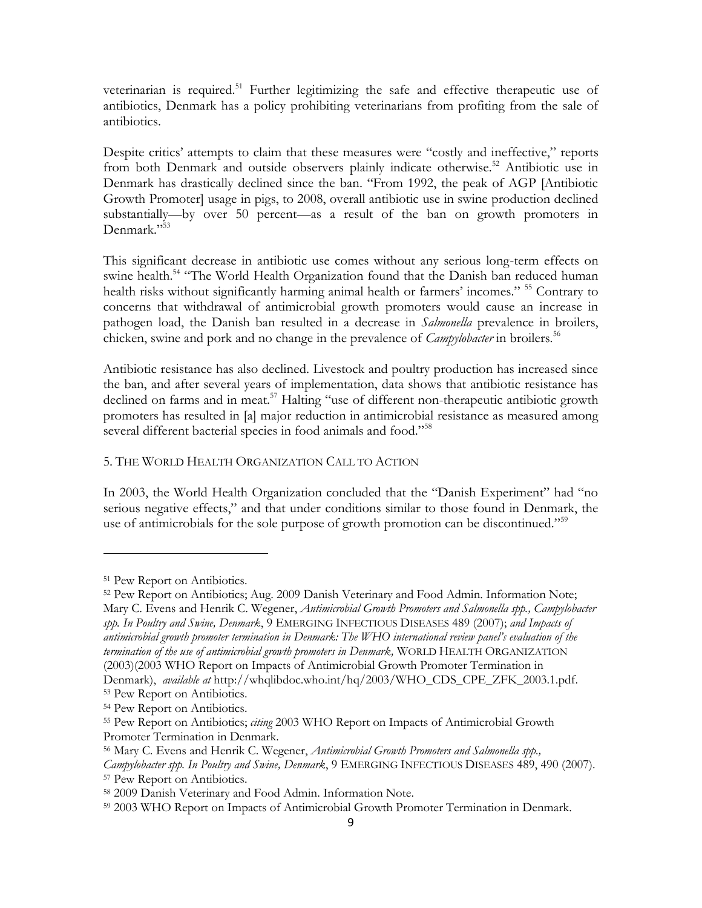veterinarian is required.<sup>51</sup> Further legitimizing the safe and effective therapeutic use of antibiotics, Denmark has a policy prohibiting veterinarians from profiting from the sale of antibiotics.

Despite critics' attempts to claim that these measures were "costly and ineffective," reports from both Denmark and outside observers plainly indicate otherwise.<sup>52</sup> Antibiotic use in Denmark has drastically declined since the ban. "From 1992, the peak of AGP [Antibiotic Growth Promoter] usage in pigs, to 2008, overall antibiotic use in swine production declined substantially—by over 50 percent—as a result of the ban on growth promoters in Denmark."<sup>53</sup>

This significant decrease in antibiotic use comes without any serious long-term effects on swine health.<sup>54</sup> "The World Health Organization found that the Danish ban reduced human health risks without significantly harming animal health or farmers' incomes." <sup>55</sup> Contrary to concerns that withdrawal of antimicrobial growth promoters would cause an increase in pathogen load, the Danish ban resulted in a decrease in *Salmonella* prevalence in broilers, chicken, swine and pork and no change in the prevalence of *Campylobacter* in broilers.<sup>56</sup>

Antibiotic resistance has also declined. Livestock and poultry production has increased since the ban, and after several years of implementation, data shows that antibiotic resistance has declined on farms and in meat.<sup>57</sup> Halting "use of different non-therapeutic antibiotic growth promoters has resulted in [a] major reduction in antimicrobial resistance as measured among several different bacterial species in food animals and food."<sup>58</sup>

### 5. THE WORLD HEALTH ORGANIZATION CALL TO ACTION

In 2003, the World Health Organization concluded that the "Danish Experiment" had "no serious negative effects," and that under conditions similar to those found in Denmark, the use of antimicrobials for the sole purpose of growth promotion can be discontinued."<sup>59</sup>

 $\overline{\phantom{a}}$ 

Denmark), *available at* http://whqlibdoc.who.int/hq/2003/WHO\_CDS\_CPE\_ZFK\_2003.1.pdf. <sup>53</sup> Pew Report on Antibiotics.

<sup>51</sup> Pew Report on Antibiotics.

<sup>52</sup> Pew Report on Antibiotics; Aug. 2009 Danish Veterinary and Food Admin. Information Note; Mary C. Evens and Henrik C. Wegener, *Antimicrobial Growth Promoters and Salmonella spp., Campylobacter spp. In Poultry and Swine, Denmark*, 9 EMERGING INFECTIOUS DISEASES 489 (2007); *and Impacts of antimicrobial growth promoter termination in Denmark: The WHO international review panel's evaluation of the termination of the use of antimicrobial growth promoters in Denmark,* WORLD HEALTH ORGANIZATION (2003)(2003 WHO Report on Impacts of Antimicrobial Growth Promoter Termination in

<sup>54</sup> Pew Report on Antibiotics.

<sup>55</sup> Pew Report on Antibiotics; *citing* 2003 WHO Report on Impacts of Antimicrobial Growth Promoter Termination in Denmark.

<sup>56</sup> Mary C. Evens and Henrik C. Wegener, *Antimicrobial Growth Promoters and Salmonella spp., Campylobacter spp. In Poultry and Swine, Denmark*, 9 EMERGING INFECTIOUS DISEASES 489, 490 (2007). <sup>57</sup> Pew Report on Antibiotics.

<sup>58</sup> 2009 Danish Veterinary and Food Admin. Information Note.

<sup>59</sup> 2003 WHO Report on Impacts of Antimicrobial Growth Promoter Termination in Denmark.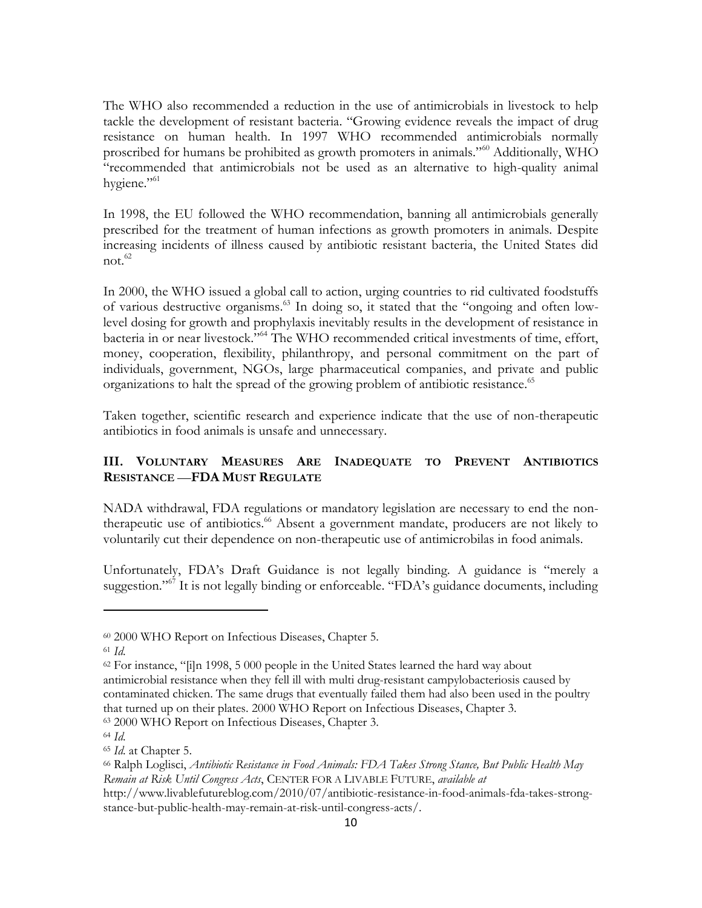The WHO also recommended a reduction in the use of antimicrobials in livestock to help tackle the development of resistant bacteria. "Growing evidence reveals the impact of drug resistance on human health. In 1997 WHO recommended antimicrobials normally proscribed for humans be prohibited as growth promoters in animals."<sup>60</sup> Additionally, WHO ―recommended that antimicrobials not be used as an alternative to high-quality animal hygiene."<sup>61</sup>

In 1998, the EU followed the WHO recommendation, banning all antimicrobials generally prescribed for the treatment of human infections as growth promoters in animals. Despite increasing incidents of illness caused by antibiotic resistant bacteria, the United States did not. $62$ 

In 2000, the WHO issued a global call to action, urging countries to rid cultivated foodstuffs of various destructive organisms.<sup>63</sup> In doing so, it stated that the "ongoing and often lowlevel dosing for growth and prophylaxis inevitably results in the development of resistance in bacteria in or near livestock."<sup>64</sup> The WHO recommended critical investments of time, effort, money, cooperation, flexibility, philanthropy, and personal commitment on the part of individuals, government, NGOs, large pharmaceutical companies, and private and public organizations to halt the spread of the growing problem of antibiotic resistance.<sup>65</sup>

Taken together, scientific research and experience indicate that the use of non-therapeutic antibiotics in food animals is unsafe and unnecessary.

## **III. VOLUNTARY MEASURES ARE INADEQUATE TO PREVENT ANTIBIOTICS RESISTANCE** —**FDA MUST REGULATE**

NADA withdrawal, FDA regulations or mandatory legislation are necessary to end the nontherapeutic use of antibiotics.<sup>66</sup> Absent a government mandate, producers are not likely to voluntarily cut their dependence on non-therapeutic use of antimicrobilas in food animals.

Unfortunately, FDA's Draft Guidance is not legally binding. A guidance is "merely a suggestion."<sup>67</sup> It is not legally binding or enforceable. "FDA's guidance documents, including

<sup>60</sup> 2000 WHO Report on Infectious Diseases, Chapter 5.

<sup>61</sup> *Id*.

 $62$  For instance, "[i]n 1998, 5 000 people in the United States learned the hard way about antimicrobial resistance when they fell ill with multi drug-resistant campylobacteriosis caused by contaminated chicken. The same drugs that eventually failed them had also been used in the poultry that turned up on their plates. 2000 WHO Report on Infectious Diseases, Chapter 3.

<sup>63</sup> 2000 WHO Report on Infectious Diseases, Chapter 3.

<sup>64</sup> *Id*.

<sup>65</sup> *Id*. at Chapter 5.

<sup>66</sup> Ralph Loglisci, *Antibiotic Resistance in Food Animals: FDA Takes Strong Stance, But Public Health May Remain at Risk Until Congress Acts*, CENTER FOR A LIVABLE FUTURE, *available at*

http://www.livablefutureblog.com/2010/07/antibiotic-resistance-in-food-animals-fda-takes-strongstance-but-public-health-may-remain-at-risk-until-congress-acts/.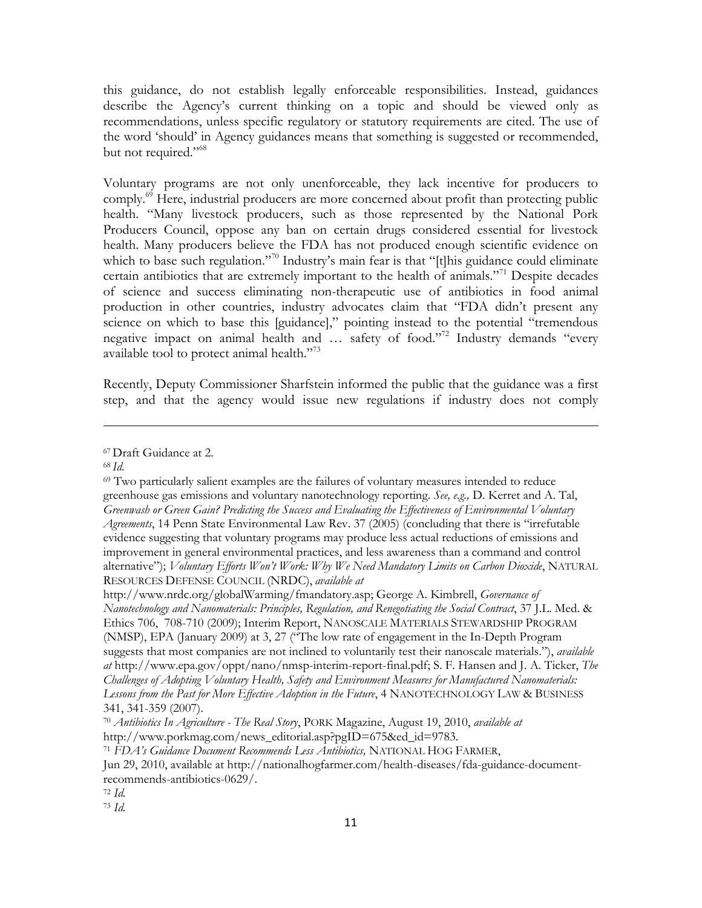this guidance, do not establish legally enforceable responsibilities. Instead, guidances describe the Agency's current thinking on a topic and should be viewed only as recommendations, unless specific regulatory or statutory requirements are cited. The use of the word ‗should' in Agency guidances means that something is suggested or recommended, but not required."<sup>68</sup>

Voluntary programs are not only unenforceable, they lack incentive for producers to comply.<sup>69</sup> Here, industrial producers are more concerned about profit than protecting public health. "Many livestock producers, such as those represented by the National Pork Producers Council, oppose any ban on certain drugs considered essential for livestock health. Many producers believe the FDA has not produced enough scientific evidence on which to base such regulation."<sup>70</sup> Industry's main fear is that "[t]his guidance could eliminate certain antibiotics that are extremely important to the health of animals.<sup> $71$ </sup> Despite decades of science and success eliminating non-therapeutic use of antibiotics in food animal production in other countries, industry advocates claim that "FDA didn't present any science on which to base this [guidance]," pointing instead to the potential "tremendous negative impact on animal health and  $\ldots$  safety of food."<sup>72</sup> Industry demands "every available tool to protect animal health. $\frac{73}{3}$ 

Recently, Deputy Commissioner Sharfstein informed the public that the guidance was a first step, and that the agency would issue new regulations if industry does not comply

 $\overline{\phantom{a}}$ 

http://www.nrdc.org/globalWarming/fmandatory.asp; George A. Kimbrell, *Governance of Nanotechnology and Nanomaterials: Principles, Regulation, and Renegotiating the Social Contract*, 37 J.L. Med. & Ethics 706, 708-710 (2009); Interim Report, NANOSCALE MATERIALS STEWARDSHIP PROGRAM (NMSP), EPA (January 2009) at 3, 27 ("The low rate of engagement in the In-Depth Program suggests that most companies are not inclined to voluntarily test their nanoscale materials."), *available at* http://www.epa.gov/oppt/nano/nmsp-interim-report-final.pdf; S. F. Hansen and J. A. Ticker, *The Challenges of Adopting Voluntary Health, Safety and Environment Measures for Manufactured Nanomaterials:*  Lessons from the Past for More Effective Adoption in the Future, 4 NANOTECHNOLOGY LAW & BUSINESS 341, 341-359 (2007).

<sup>67</sup> Draft Guidance at 2.

<sup>68</sup> *Id.*

 $69$  Two particularly salient examples are the failures of voluntary measures intended to reduce greenhouse gas emissions and voluntary nanotechnology reporting. *See, e.g.,* D. Kerret and A. Tal, *Greenwash or Green Gain? Predicting the Success and Evaluating the Effectiveness of Environmental Voluntary Agreements*, 14 Penn State Environmental Law Rev. 37 (2005) (concluding that there is "irrefutable evidence suggesting that voluntary programs may produce less actual reductions of emissions and improvement in general environmental practices, and less awareness than a command and control alternative"); *Voluntary Efforts Won't Work: Why We Need Mandatory Limits on Carbon Dioxide*, NATURAL RESOURCES DEFENSE COUNCIL (NRDC), *available at*

<sup>70</sup> *Antibiotics In Agriculture - The Real Story*, PORK Magazine, August 19, 2010, *available at* http://www.porkmag.com/news\_editorial.asp?pgID=675&ed\_id=9783.

<sup>71</sup> *FDA's Guidance Document Recommends Less Antibiotics,* NATIONAL HOG FARMER,

Jun 29, 2010, available at http://nationalhogfarmer.com/health-diseases/fda-guidance-documentrecommends-antibiotics-0629/.

<sup>72</sup> *Id.*

<sup>73</sup> *Id.*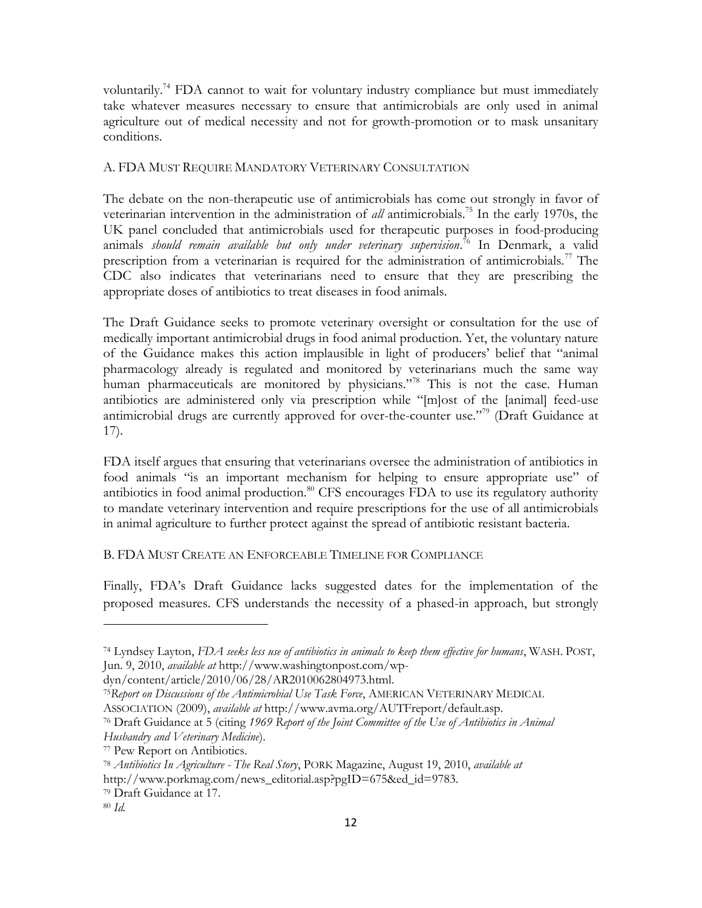voluntarily.<sup>74</sup> FDA cannot to wait for voluntary industry compliance but must immediately take whatever measures necessary to ensure that antimicrobials are only used in animal agriculture out of medical necessity and not for growth-promotion or to mask unsanitary conditions.

### A. FDA MUST REQUIRE MANDATORY VETERINARY CONSULTATION

The debate on the non-therapeutic use of antimicrobials has come out strongly in favor of veterinarian intervention in the administration of *all* antimicrobials.<sup>75</sup> In the early 1970s, the UK panel concluded that antimicrobials used for therapeutic purposes in food-producing animals *should remain available but only under veterinary supervision*. <sup>76</sup> In Denmark, a valid prescription from a veterinarian is required for the administration of antimicrobials.<sup>77</sup> The CDC also indicates that veterinarians need to ensure that they are prescribing the appropriate doses of antibiotics to treat diseases in food animals.

The Draft Guidance seeks to promote veterinary oversight or consultation for the use of medically important antimicrobial drugs in food animal production. Yet, the voluntary nature of the Guidance makes this action implausible in light of producers' belief that "animal pharmacology already is regulated and monitored by veterinarians much the same way human pharmaceuticals are monitored by physicians."<sup>78</sup> This is not the case. Human antibiotics are administered only via prescription while "[m]ost of the [animal] feed-use antimicrobial drugs are currently approved for over-the-counter use.<sup> $779$ </sup> (Draft Guidance at 17).

FDA itself argues that ensuring that veterinarians oversee the administration of antibiotics in food animals "is an important mechanism for helping to ensure appropriate use" of antibiotics in food animal production.<sup>80</sup> CFS encourages FDA to use its regulatory authority to mandate veterinary intervention and require prescriptions for the use of all antimicrobials in animal agriculture to further protect against the spread of antibiotic resistant bacteria.

## B. FDA MUST CREATE AN ENFORCEABLE TIMELINE FOR COMPLIANCE

Finally, FDA's Draft Guidance lacks suggested dates for the implementation of the proposed measures. CFS understands the necessity of a phased-in approach, but strongly

<sup>74</sup> Lyndsey Layton, *FDA seeks less use of antibiotics in animals to keep them effective for humans*, WASH. POST, Jun. 9, 2010, *available at* http://www.washingtonpost.com/wp-

dyn/content/article/2010/06/28/AR2010062804973.html.

<sup>75</sup>*Report on Discussions of the Antimicrobial Use Task Force*, AMERICAN VETERINARY MEDICAL ASSOCIATION (2009), *available at* http://www.avma.org/AUTFreport/default.asp.

<sup>76</sup> Draft Guidance at 5 (citing *1969 Report of the Joint Committee of the Use of Antibiotics in Animal Husbandry and Veterinary Medicine*).

<sup>77</sup> Pew Report on Antibiotics.

<sup>78</sup> *Antibiotics In Agriculture - The Real Story*, PORK Magazine, August 19, 2010, *available at* http://www.porkmag.com/news\_editorial.asp?pgID=675&ed\_id=9783.

<sup>79</sup> Draft Guidance at 17.

<sup>80</sup> *Id.*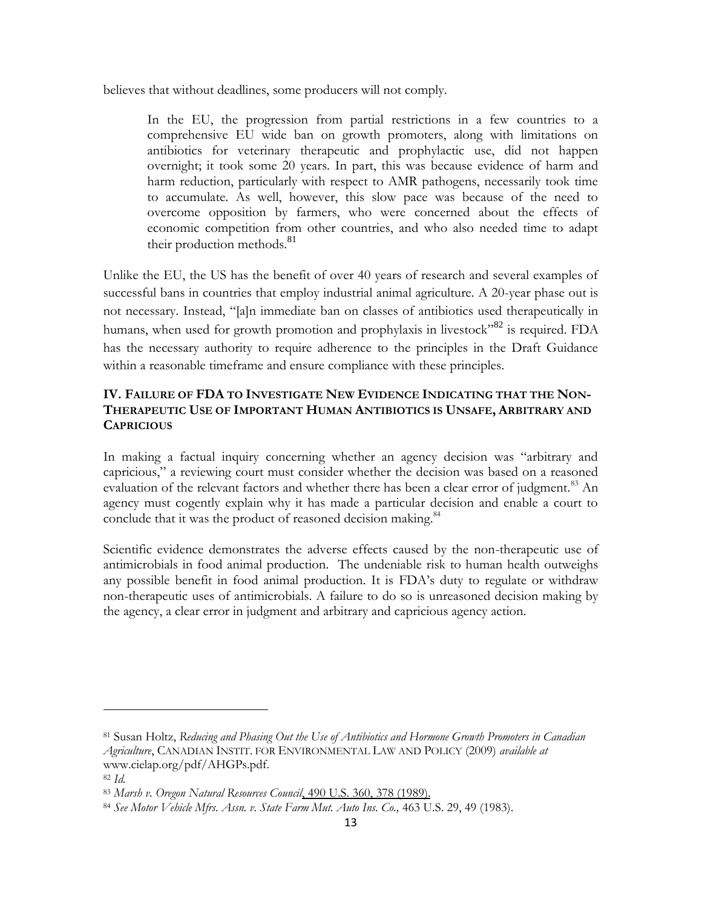believes that without deadlines, some producers will not comply.

In the EU, the progression from partial restrictions in a few countries to a comprehensive EU wide ban on growth promoters, along with limitations on antibiotics for veterinary therapeutic and prophylactic use, did not happen overnight; it took some 20 years. In part, this was because evidence of harm and harm reduction, particularly with respect to AMR pathogens, necessarily took time to accumulate. As well, however, this slow pace was because of the need to overcome opposition by farmers, who were concerned about the effects of economic competition from other countries, and who also needed time to adapt their production methods.<sup>81</sup>

Unlike the EU, the US has the benefit of over 40 years of research and several examples of successful bans in countries that employ industrial animal agriculture. A 20-year phase out is not necessary. Instead, "[a]n immediate ban on classes of antibiotics used therapeutically in humans, when used for growth promotion and prophylaxis in livestock<sup> $32$ </sup> is required. FDA has the necessary authority to require adherence to the principles in the Draft Guidance within a reasonable timeframe and ensure compliance with these principles.

# **IV. FAILURE OF FDA TO INVESTIGATE NEW EVIDENCE INDICATING THAT THE NON-THERAPEUTIC USE OF IMPORTANT HUMAN ANTIBIOTICS IS UNSAFE, ARBITRARY AND CAPRICIOUS**

In making a factual inquiry concerning whether an agency decision was "arbitrary and capricious," a reviewing court must consider whether the decision was based on a reasoned evaluation of the relevant factors and whether there has been a clear error of judgment.<sup>83</sup> An agency must cogently explain why it has made a particular decision and enable a court to conclude that it was the product of reasoned decision making.<sup>84</sup>

Scientific evidence demonstrates the adverse effects caused by the non-therapeutic use of antimicrobials in food animal production. The undeniable risk to human health outweighs any possible benefit in food animal production. It is FDA's duty to regulate or withdraw non-therapeutic uses of antimicrobials. A failure to do so is unreasoned decision making by the agency, a clear error in judgment and arbitrary and capricious agency action.

l

<sup>81</sup> Susan Holtz, *Reducing and Phasing Out the Use of Antibiotics and Hormone Growth Promoters in Canadian Agriculture*, CANADIAN INSTIT. FOR ENVIRONMENTAL LAW AND POLICY (2009) *available at* www.cielap.org/pdf/AHGPs.pdf.

<sup>82</sup> *Id.*

<sup>83</sup> *Marsh v. Oregon Natural Resources Council*, 490 U.S. 360, 378 (1989).

<sup>84</sup> *See Motor Vehicle Mfrs. Assn. v. State Farm Mut. Auto Ins. Co.,* 463 U.S. 29, 49 (1983).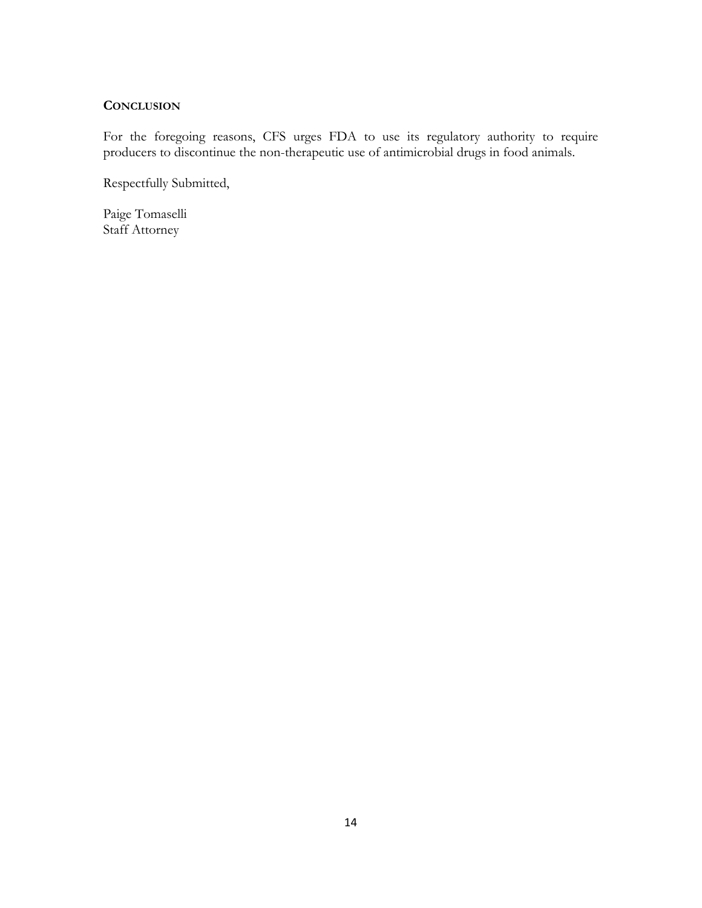### **CONCLUSION**

For the foregoing reasons, CFS urges FDA to use its regulatory authority to require producers to discontinue the non-therapeutic use of antimicrobial drugs in food animals.

Respectfully Submitted,

Paige Tomaselli Staff Attorney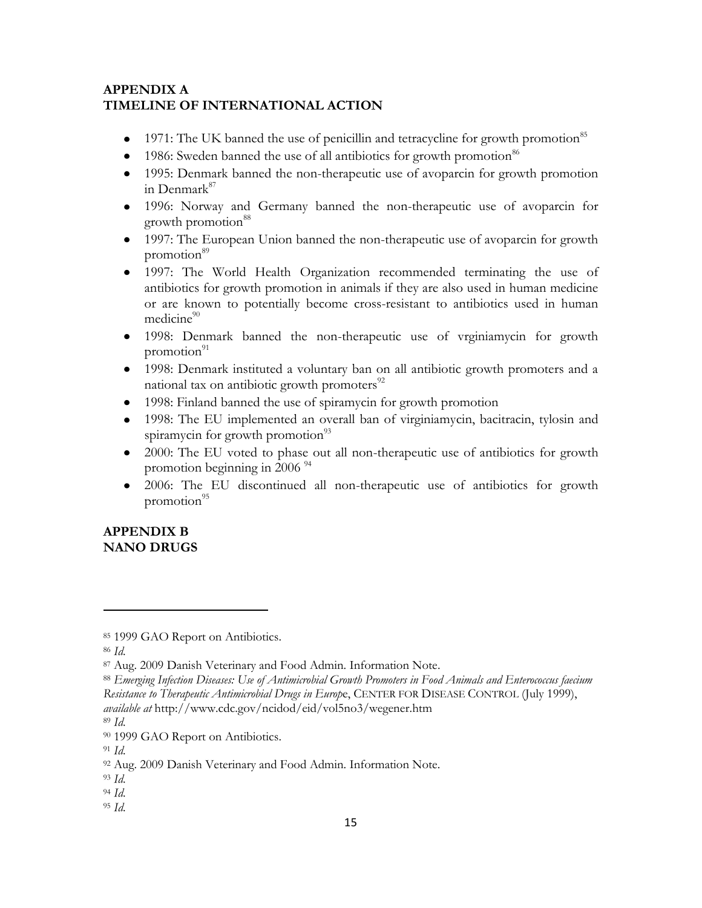# **APPENDIX A TIMELINE OF INTERNATIONAL ACTION**

- 1971: The UK banned the use of penicillin and tetracycline for growth promotion<sup>85</sup>  $\bullet$
- 1986: Sweden banned the use of all antibiotics for growth promotion<sup>86</sup>
- 1995: Denmark banned the non-therapeutic use of avoparcin for growth promotion in Denmark<sup>87</sup>
- 1996: Norway and Germany banned the non-therapeutic use of avoparcin for growth promotion<sup>88</sup>
- 1997: The European Union banned the non-therapeutic use of avoparcin for growth promotion<sup>89</sup>
- 1997: The World Health Organization recommended terminating the use of antibiotics for growth promotion in animals if they are also used in human medicine or are known to potentially become cross-resistant to antibiotics used in human  $medicine^{90}$
- 1998: Denmark banned the non-therapeutic use of vrginiamycin for growth promotion $91$
- 1998: Denmark instituted a voluntary ban on all antibiotic growth promoters and a national tax on antibiotic growth promoters $92$
- 1998: Finland banned the use of spiramycin for growth promotion
- 1998: The EU implemented an overall ban of virginiamycin, bacitracin, tylosin and spiramycin for growth promotion $^{93}$
- 2000: The EU voted to phase out all non-therapeutic use of antibiotics for growth promotion beginning in 2006<sup>94</sup>
- $\bullet$ 2006: The EU discontinued all non-therapeutic use of antibiotics for growth promotion $^{95}$

# **APPENDIX B NANO DRUGS**

<sup>86</sup> *Id*.

- <sup>94</sup> *Id*.
- <sup>95</sup> *Id*.

<sup>85 1999</sup> GAO Report on Antibiotics.

<sup>87</sup> Aug. 2009 Danish Veterinary and Food Admin. Information Note.

<sup>88</sup> *Emerging Infection Diseases: Use of Antimicrobial Growth Promoters in Food Animals and Enterococcus faecium Resistance to Therapeutic Antimicrobial Drugs in Europ*e, CENTER FOR DISEASE CONTROL (July 1999), *available at* http://www.cdc.gov/ncidod/eid/vol5no3/wegener.htm

<sup>89</sup> *Id*.

<sup>90 1999</sup> GAO Report on Antibiotics.

<sup>91</sup> *Id*.

<sup>92</sup> Aug. 2009 Danish Veterinary and Food Admin. Information Note.

<sup>93</sup> *Id*.